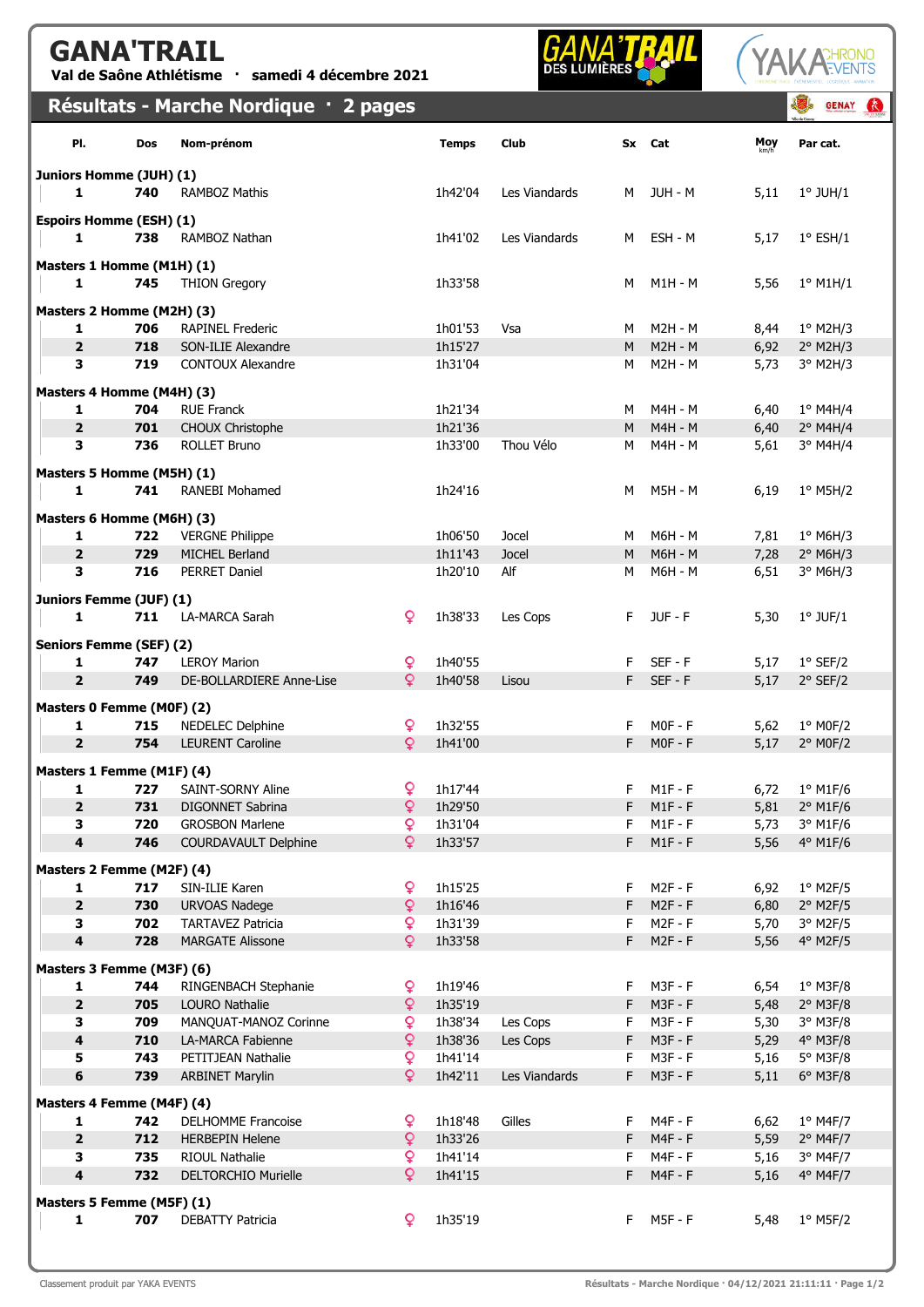## GANA'TRAIL

Val de Saône Athlétisme · samedi 4 décembre 2021

## **GANA'T**



|                                |            | Résultats - Marche Nordique · 2 pages               |                     |                    |               |        |                             |              | <b>GENAY</b>             | $\mathbf{G}$ |
|--------------------------------|------------|-----------------------------------------------------|---------------------|--------------------|---------------|--------|-----------------------------|--------------|--------------------------|--------------|
| PI.                            | Dos        | Nom-prénom                                          |                     | <b>Temps</b>       | Club          |        | Sx Cat                      | Moy          | Par cat.                 |              |
| Juniors Homme (JUH) (1)        |            |                                                     |                     |                    |               |        |                             |              |                          |              |
| 1                              | 740        | <b>RAMBOZ Mathis</b>                                |                     | 1h42'04            | Les Viandards | М      | JUH - M                     | 5,11         | $1°$ JUH/ $1$            |              |
| <b>Espoirs Homme (ESH) (1)</b> |            |                                                     |                     |                    |               |        |                             |              |                          |              |
| 1                              | 738        | RAMBOZ Nathan                                       |                     | 1h41'02            | Les Viandards | м      | ESH - M                     | 5,17         | $1^{\circ}$ ESH/1        |              |
| Masters 1 Homme (M1H) (1)      |            |                                                     |                     |                    |               |        |                             |              |                          |              |
| 1                              | 745        | <b>THION Gregory</b>                                |                     | 1h33'58            |               | М      | M1H - M                     | 5,56         | $1^{\circ}$ M1H/1        |              |
| Masters 2 Homme (M2H) (3)      |            |                                                     |                     |                    |               |        |                             |              |                          |              |
| 1                              | 706        | <b>RAPINEL Frederic</b>                             |                     | 1h01'53            | Vsa           | M      | <b>M2H - M</b>              | 8,44         | $1°$ M2H/3               |              |
| $\overline{2}$                 | 718        | SON-ILIE Alexandre                                  |                     | 1h15'27            |               | M      | $M2H - M$                   | 6,92         | $2^{\circ}$ M2H/3        |              |
| 3                              | 719        | <b>CONTOUX Alexandre</b>                            |                     | 1h31'04            |               | М      | $M2H - M$                   | 5,73         | 3° M2H/3                 |              |
| Masters 4 Homme (M4H) (3)      |            |                                                     |                     |                    |               |        |                             |              |                          |              |
| 1                              | 704        | <b>RUE Franck</b>                                   |                     | 1h21'34            |               | M      | M4H - M                     | 6,40         | 1° M4H/4                 |              |
| $\overline{2}$<br>3            | 701<br>736 | CHOUX Christophe<br><b>ROLLET Bruno</b>             |                     | 1h21'36<br>1h33'00 | Thou Vélo     | M<br>М | $M4H - M$<br>M4H - M        | 6,40<br>5,61 | $2°$ M4H/4<br>$3°$ M4H/4 |              |
|                                |            |                                                     |                     |                    |               |        |                             |              |                          |              |
| Masters 5 Homme (M5H) (1)      |            |                                                     |                     |                    |               |        |                             |              |                          |              |
| 1                              | 741        | <b>RANEBI Mohamed</b>                               |                     | 1h24'16            |               | M      | M5H - M                     | 6,19         | $1°$ M5H/2               |              |
| Masters 6 Homme (M6H) (3)      |            |                                                     |                     |                    |               |        |                             |              |                          |              |
| 1                              | 722        | <b>VERGNE Philippe</b>                              |                     | 1h06'50            | Jocel         | м      | M6H - M                     | 7,81         | $1°$ M6H/3               |              |
| $\overline{2}$<br>3            | 729<br>716 | MICHEL Berland                                      |                     | 1h11'43            | Jocel         | M      | <b>M6H - M</b>              | 7,28         | $2°$ M6H/3               |              |
|                                |            | PERRET Daniel                                       |                     | 1h20'10            | Alf           | м      | M6H - M                     | 6,51         | 3° M6H/3                 |              |
| Juniors Femme (JUF) (1)        |            |                                                     |                     |                    |               |        |                             |              |                          |              |
| 1                              | 711        | LA-MARCA Sarah                                      | ₽                   | 1h38'33            | Les Cops      | F      | JUF-F                       | 5,30         | $1°$ JUF/ $1$            |              |
| <b>Seniors Femme (SEF) (2)</b> |            |                                                     |                     |                    |               |        |                             |              |                          |              |
| 1                              | 747        | <b>LEROY Marion</b>                                 | Q                   | 1h40'55            |               | F      | SEF-F                       | 5,17         | $1°$ SEF/2               |              |
| $\overline{2}$                 | 749        | DE-BOLLARDIERE Anne-Lise                            | Q.                  | 1h40'58            | Lisou         | F      | $SEF - F$                   | 5,17         | $2°$ SEF/2               |              |
| Masters 0 Femme (M0F) (2)      |            |                                                     |                     |                    |               |        |                             |              |                          |              |
| 1                              | 715        | NEDELEC Delphine                                    | Q                   | 1h32'55            |               | F      | $MOF - F$                   | 5,62         | $1°$ MOF/2               |              |
| $\overline{2}$                 | 754        | <b>LEURENT Caroline</b>                             | $\overline{Q}$      | 1h41'00            |               | F      | $MOF - F$                   | 5,17         | $2°$ MOF/2               |              |
| Masters 1 Femme (M1F) (4)      |            |                                                     |                     |                    |               |        |                             |              |                          |              |
| 1                              | 727        | <b>SAINT-SORNY Aline</b>                            | ò                   | 1h17'44            |               | F      | $M1F - F$                   | 6,72         | $1°$ M1F/6               |              |
| $\overline{\mathbf{2}}$<br>3   | 731<br>720 | <b>DIGONNET Sabrina</b><br><b>GROSBON Marlene</b>   | ò<br>ò              | 1h29'50<br>1h31'04 |               | F<br>F | $M1F - F$<br>$M1F - F$      | 5,81<br>5,73 | 2° M1F/6<br>3° M1F/6     |              |
| $\overline{\mathbf{4}}$        | 746        | <b>COURDAVAULT Delphine</b>                         | Q.                  | 1h33'57            |               | F.     | $M1F - F$                   | 5,56         | 4° M1F/6                 |              |
|                                |            |                                                     |                     |                    |               |        |                             |              |                          |              |
| Masters 2 Femme (M2F) (4)      | 717        |                                                     | ò                   | 1h15'25            |               | F      | $M2F - F$                   |              | $1°$ M2F/5               |              |
| 1<br>$\overline{2}$            | 730        | SIN-ILIE Karen<br><b>URVOAS Nadege</b>              | $\mathsf{Q}$        | 1h16'46            |               | F      | $M2F - F$                   | 6,92<br>6,80 | $2°$ M2F/5               |              |
| 3                              | 702        | <b>TARTAVEZ Patricia</b>                            | Q                   | 1h31'39            |               | F      | $M2F - F$                   | 5,70         | 3° M2F/5                 |              |
| $\overline{\mathbf{4}}$        | 728        | <b>MARGATE Alissone</b>                             | ò                   | 1h33'58            |               | F      | $M2F - F$                   | 5,56         | 4° M2F/5                 |              |
| Masters 3 Femme (M3F) (6)      |            |                                                     |                     |                    |               |        |                             |              |                          |              |
| 1                              | 744        | RINGENBACH Stephanie                                | ò                   | 1h19'46            |               | F      | M3F - F                     | 6,54         | $1°$ M3F/8               |              |
| $\overline{2}$                 | 705        | <b>LOURO Nathalie</b>                               | $\mathsf{Q}$        | 1h35'19            |               | F      | $M3F - F$                   | 5,48         | $2°$ M3F/8               |              |
| $\mathbf{3}$                   | 709        | MANQUAT-MANOZ Corinne                               | Q.                  | 1h38'34            | Les Cops      | F      | M3F - F                     | 5,30         | 3° M3F/8                 |              |
| $\overline{\mathbf{4}}$        | 710        | LA-MARCA Fabienne                                   | ò                   | 1h38'36            | Les Cops      | F      | $M3F - F$                   | 5,29         | 4° M3F/8                 |              |
| 5<br>6                         | 743<br>739 | PETITJEAN Nathalie<br><b>ARBINET Marylin</b>        | Q.<br>Q.            | 1h41'14<br>1h42'11 | Les Viandards | F<br>F | $M3F - F$<br>$M3F - F$      | 5,16<br>5,11 | 5° M3F/8<br>6° M3F/8     |              |
|                                |            |                                                     |                     |                    |               |        |                             |              |                          |              |
| Masters 4 Femme (M4F) (4)      |            |                                                     |                     |                    |               |        |                             |              |                          |              |
| 1<br>$\overline{\mathbf{2}}$   | 742<br>712 | <b>DELHOMME Francoise</b><br><b>HERBEPIN Helene</b> | ò<br>$\overline{Q}$ | 1h18'48<br>1h33'26 | Gilles        | F<br>F | <b>M4F - F</b><br>$M4F - F$ | 6,62<br>5,59 | $1°$ M4F/7<br>$2°$ M4F/7 |              |
| 3                              | 735        | <b>RIOUL Nathalie</b>                               | ò                   | 1h41'14            |               | F      | $M4F - F$                   | 5,16         | 3° M4F/7                 |              |
| $\overline{\mathbf{4}}$        | 732        | <b>DELTORCHIO Murielle</b>                          | Q.                  | 1h41'15            |               | F      | $M4F - F$                   | 5,16         | 4° M4F/7                 |              |
| Masters 5 Femme (M5F) (1)      |            |                                                     |                     |                    |               |        |                             |              |                          |              |
| 1                              | 707        | <b>DEBATTY Patricia</b>                             | ₽                   | 1h35'19            |               | F      | <b>M5F - F</b>              | 5,48         | $1°$ M5F/2               |              |